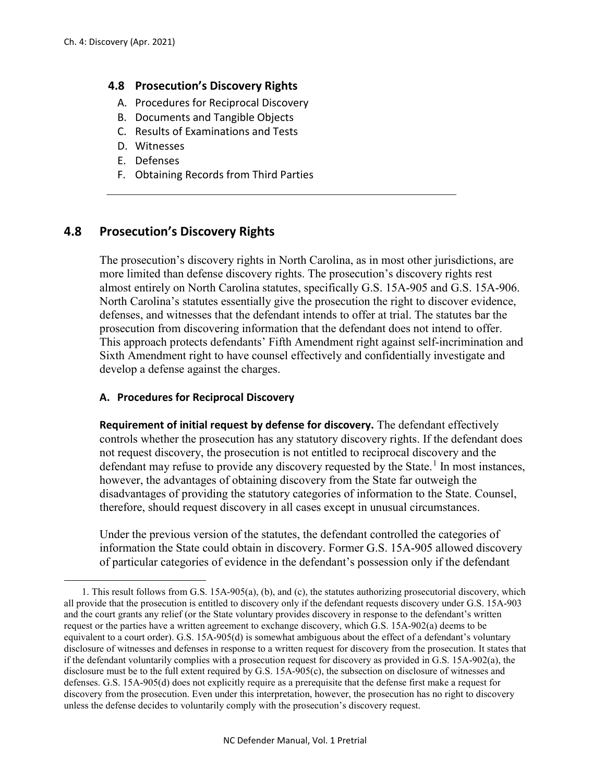$\overline{a}$ 

# **4.8 Prosecution's Discovery Rights**

- A. Procedures for Reciprocal Discovery
- B. Documents and Tangible Objects
- C. Results of Examinations and Tests
- D. Witnesses
- E. Defenses
- F. Obtaining Records from Third Parties

# **4.8 Prosecution's Discovery Rights**

The prosecution's discovery rights in North Carolina, as in most other jurisdictions, are more limited than defense discovery rights. The prosecution's discovery rights rest almost entirely on North Carolina statutes, specifically G.S. 15A-905 and G.S. 15A-906. North Carolina's statutes essentially give the prosecution the right to discover evidence, defenses, and witnesses that the defendant intends to offer at trial. The statutes bar the prosecution from discovering information that the defendant does not intend to offer. This approach protects defendants' Fifth Amendment right against self-incrimination and Sixth Amendment right to have counsel effectively and confidentially investigate and develop a defense against the charges.

 $\_$  , and the set of the set of the set of the set of the set of the set of the set of the set of the set of the set of the set of the set of the set of the set of the set of the set of the set of the set of the set of th

## **A. Procedures for Reciprocal Discovery**

**Requirement of initial request by defense for discovery.** The defendant effectively controls whether the prosecution has any statutory discovery rights. If the defendant does not request discovery, the prosecution is not entitled to reciprocal discovery and the defendant may refuse to provide any discovery requested by the State.<sup>[1](#page-0-0)</sup> In most instances, however, the advantages of obtaining discovery from the State far outweigh the disadvantages of providing the statutory categories of information to the State. Counsel, therefore, should request discovery in all cases except in unusual circumstances.

Under the previous version of the statutes, the defendant controlled the categories of information the State could obtain in discovery. Former G.S. 15A-905 allowed discovery of particular categories of evidence in the defendant's possession only if the defendant

<span id="page-0-0"></span><sup>1.</sup> This result follows from G.S. 15A-905(a), (b), and (c), the statutes authorizing prosecutorial discovery, which all provide that the prosecution is entitled to discovery only if the defendant requests discovery under G.S. 15A-903 and the court grants any relief (or the State voluntary provides discovery in response to the defendant's written request or the parties have a written agreement to exchange discovery, which G.S. 15A-902(a) deems to be equivalent to a court order). G.S. 15A-905(d) is somewhat ambiguous about the effect of a defendant's voluntary disclosure of witnesses and defenses in response to a written request for discovery from the prosecution. It states that if the defendant voluntarily complies with a prosecution request for discovery as provided in G.S. 15A-902(a), the disclosure must be to the full extent required by G.S. 15A-905(c), the subsection on disclosure of witnesses and defenses. G.S. 15A-905(d) does not explicitly require as a prerequisite that the defense first make a request for discovery from the prosecution. Even under this interpretation, however, the prosecution has no right to discovery unless the defense decides to voluntarily comply with the prosecution's discovery request.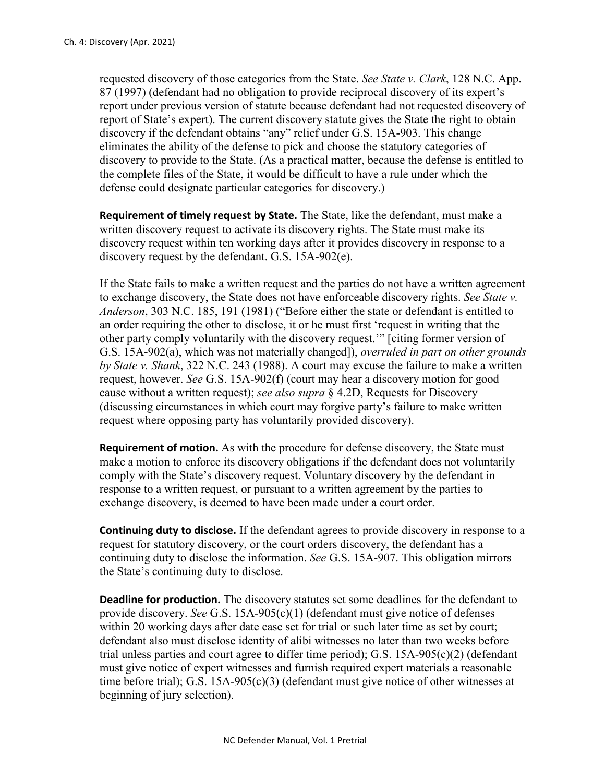requested discovery of those categories from the State. *See State v. Clark*, 128 N.C. App. 87 (1997) (defendant had no obligation to provide reciprocal discovery of its expert's report under previous version of statute because defendant had not requested discovery of report of State's expert). The current discovery statute gives the State the right to obtain discovery if the defendant obtains "any" relief under G.S. 15A-903. This change eliminates the ability of the defense to pick and choose the statutory categories of discovery to provide to the State. (As a practical matter, because the defense is entitled to the complete files of the State, it would be difficult to have a rule under which the defense could designate particular categories for discovery.)

**Requirement of timely request by State.** The State, like the defendant, must make a written discovery request to activate its discovery rights. The State must make its discovery request within ten working days after it provides discovery in response to a discovery request by the defendant. G.S. 15A-902(e).

If the State fails to make a written request and the parties do not have a written agreement to exchange discovery, the State does not have enforceable discovery rights. *See State v. Anderson*, 303 N.C. 185, 191 (1981) ("Before either the state or defendant is entitled to an order requiring the other to disclose, it or he must first 'request in writing that the other party comply voluntarily with the discovery request.'" [citing former version of G.S. 15A-902(a), which was not materially changed]), *overruled in part on other grounds by State v. Shank*, 322 N.C. 243 (1988). A court may excuse the failure to make a written request, however. *See* G.S. 15A-902(f) (court may hear a discovery motion for good cause without a written request); *see also supra* § 4.2D, Requests for Discovery (discussing circumstances in which court may forgive party's failure to make written request where opposing party has voluntarily provided discovery).

**Requirement of motion.** As with the procedure for defense discovery, the State must make a motion to enforce its discovery obligations if the defendant does not voluntarily comply with the State's discovery request. Voluntary discovery by the defendant in response to a written request, or pursuant to a written agreement by the parties to exchange discovery, is deemed to have been made under a court order.

**Continuing duty to disclose.** If the defendant agrees to provide discovery in response to a request for statutory discovery, or the court orders discovery, the defendant has a continuing duty to disclose the information. *See* G.S. 15A-907. This obligation mirrors the State's continuing duty to disclose.

**Deadline for production.** The discovery statutes set some deadlines for the defendant to provide discovery. *See* G.S. 15A-905(c)(1) (defendant must give notice of defenses within 20 working days after date case set for trial or such later time as set by court; defendant also must disclose identity of alibi witnesses no later than two weeks before trial unless parties and court agree to differ time period); G.S. 15A-905(c)(2) (defendant must give notice of expert witnesses and furnish required expert materials a reasonable time before trial); G.S. 15A-905(c)(3) (defendant must give notice of other witnesses at beginning of jury selection).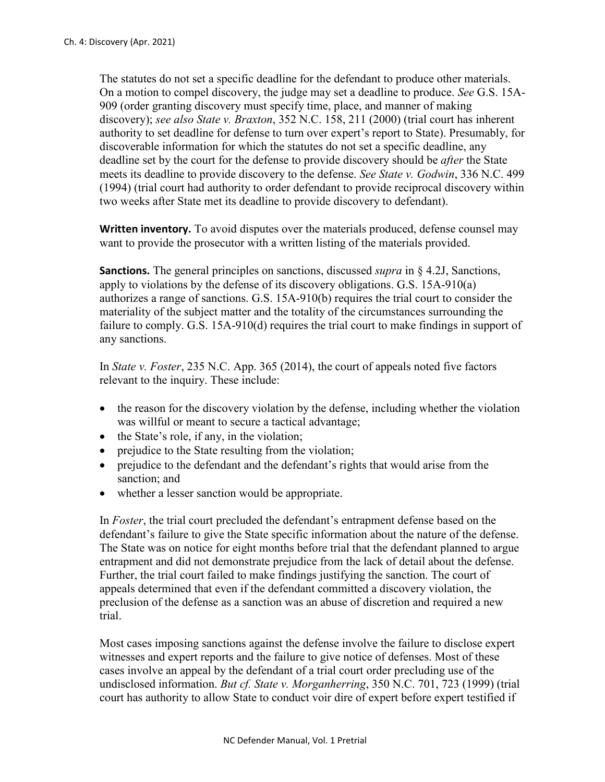The statutes do not set a specific deadline for the defendant to produce other materials. On a motion to compel discovery, the judge may set a deadline to produce. *See* G.S. 15A-909 (order granting discovery must specify time, place, and manner of making discovery); *see also State v. Braxton*, 352 N.C. 158, 211 (2000) (trial court has inherent authority to set deadline for defense to turn over expert's report to State). Presumably, for discoverable information for which the statutes do not set a specific deadline, any deadline set by the court for the defense to provide discovery should be *after* the State meets its deadline to provide discovery to the defense. *See State v. Godwin*, 336 N.C. 499 (1994) (trial court had authority to order defendant to provide reciprocal discovery within two weeks after State met its deadline to provide discovery to defendant).

**Written inventory.** To avoid disputes over the materials produced, defense counsel may want to provide the prosecutor with a written listing of the materials provided.

**Sanctions.** The general principles on sanctions, discussed *supra* in § 4.2J, Sanctions, apply to violations by the defense of its discovery obligations. G.S. 15A-910(a) authorizes a range of sanctions. G.S. 15A-910(b) requires the trial court to consider the materiality of the subject matter and the totality of the circumstances surrounding the failure to comply. G.S. 15A-910(d) requires the trial court to make findings in support of any sanctions.

In *State v. Foster*, 235 N.C. App. 365 (2014), the court of appeals noted five factors relevant to the inquiry. These include:

- the reason for the discovery violation by the defense, including whether the violation was willful or meant to secure a tactical advantage;
- the State's role, if any, in the violation;
- prejudice to the State resulting from the violation;
- prejudice to the defendant and the defendant's rights that would arise from the sanction; and
- whether a lesser sanction would be appropriate.

In *Foster*, the trial court precluded the defendant's entrapment defense based on the defendant's failure to give the State specific information about the nature of the defense. The State was on notice for eight months before trial that the defendant planned to argue entrapment and did not demonstrate prejudice from the lack of detail about the defense. Further, the trial court failed to make findings justifying the sanction. The court of appeals determined that even if the defendant committed a discovery violation, the preclusion of the defense as a sanction was an abuse of discretion and required a new trial.

Most cases imposing sanctions against the defense involve the failure to disclose expert witnesses and expert reports and the failure to give notice of defenses. Most of these cases involve an appeal by the defendant of a trial court order precluding use of the undisclosed information. *But cf. State v. Morganherring*, 350 N.C. 701, 723 (1999) (trial court has authority to allow State to conduct voir dire of expert before expert testified if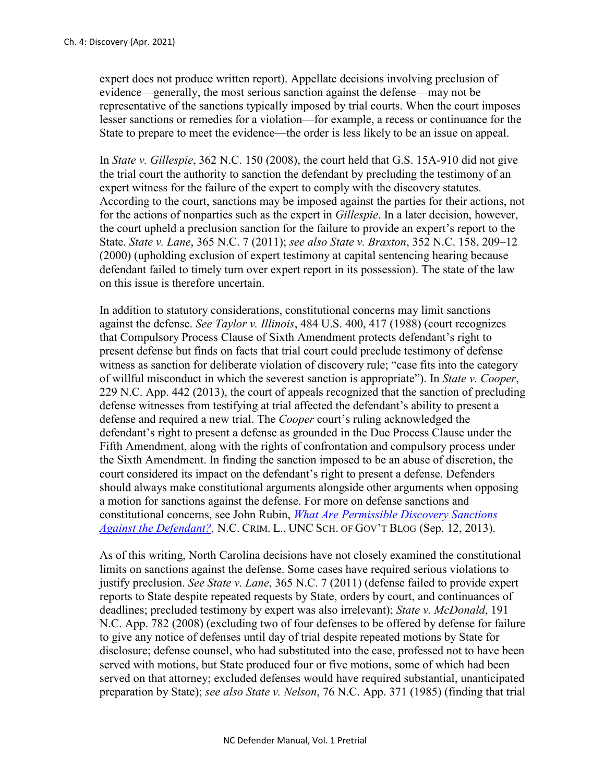expert does not produce written report). Appellate decisions involving preclusion of evidence—generally, the most serious sanction against the defense—may not be representative of the sanctions typically imposed by trial courts. When the court imposes lesser sanctions or remedies for a violation—for example, a recess or continuance for the State to prepare to meet the evidence—the order is less likely to be an issue on appeal.

In *State v. Gillespie*, 362 N.C. 150 (2008), the court held that G.S. 15A-910 did not give the trial court the authority to sanction the defendant by precluding the testimony of an expert witness for the failure of the expert to comply with the discovery statutes. According to the court, sanctions may be imposed against the parties for their actions, not for the actions of nonparties such as the expert in *Gillespie*. In a later decision, however, the court upheld a preclusion sanction for the failure to provide an expert's report to the State. *State v. Lane*, 365 N.C. 7 (2011); *see also State v. Braxton*, 352 N.C. 158, 209–12 (2000) (upholding exclusion of expert testimony at capital sentencing hearing because defendant failed to timely turn over expert report in its possession). The state of the law on this issue is therefore uncertain.

In addition to statutory considerations, constitutional concerns may limit sanctions against the defense. *See Taylor v. Illinois*, 484 U.S. 400, 417 (1988) (court recognizes that Compulsory Process Clause of Sixth Amendment protects defendant's right to present defense but finds on facts that trial court could preclude testimony of defense witness as sanction for deliberate violation of discovery rule; "case fits into the category of willful misconduct in which the severest sanction is appropriate"). In *State v. Cooper*, 229 N.C. App. 442 (2013), the court of appeals recognized that the sanction of precluding defense witnesses from testifying at trial affected the defendant's ability to present a defense and required a new trial. The *Cooper* court's ruling acknowledged the defendant's right to present a defense as grounded in the Due Process Clause under the Fifth Amendment, along with the rights of confrontation and compulsory process under the Sixth Amendment. In finding the sanction imposed to be an abuse of discretion, the court considered its impact on the defendant's right to present a defense. Defenders should always make constitutional arguments alongside other arguments when opposing a motion for sanctions against the defense. For more on defense sanctions and constitutional concerns, see John Rubin, *[What Are Permissible Discovery Sanctions](https://nccriminallaw.sog.unc.edu/what-are-permissible-discovery-sanctions-against-the-defendant/)  [Against the Defendant?,](https://nccriminallaw.sog.unc.edu/what-are-permissible-discovery-sanctions-against-the-defendant/)* N.C. CRIM. L., UNC SCH. OF GOV'T BLOG (Sep. 12, 2013).

As of this writing, North Carolina decisions have not closely examined the constitutional limits on sanctions against the defense. Some cases have required serious violations to justify preclusion. *See State v. Lane*, 365 N.C. 7 (2011) (defense failed to provide expert reports to State despite repeated requests by State, orders by court, and continuances of deadlines; precluded testimony by expert was also irrelevant); *State v. McDonald*, 191 N.C. App. 782 (2008) (excluding two of four defenses to be offered by defense for failure to give any notice of defenses until day of trial despite repeated motions by State for disclosure; defense counsel, who had substituted into the case, professed not to have been served with motions, but State produced four or five motions, some of which had been served on that attorney; excluded defenses would have required substantial, unanticipated preparation by State); *see also State v. Nelson*, 76 N.C. App. 371 (1985) (finding that trial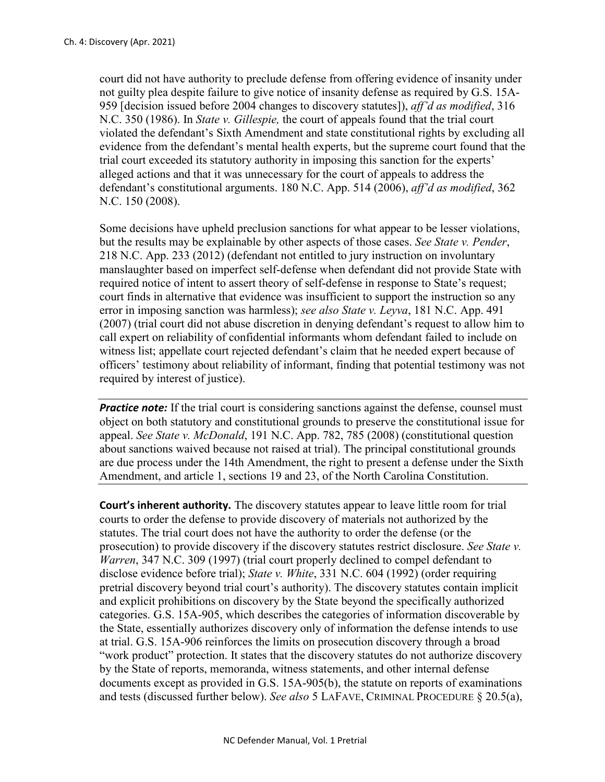court did not have authority to preclude defense from offering evidence of insanity under not guilty plea despite failure to give notice of insanity defense as required by G.S. 15A-959 [decision issued before 2004 changes to discovery statutes]), *aff'd as modified*, 316 N.C. 350 (1986). In *State v. Gillespie,* the court of appeals found that the trial court violated the defendant's Sixth Amendment and state constitutional rights by excluding all evidence from the defendant's mental health experts, but the supreme court found that the trial court exceeded its statutory authority in imposing this sanction for the experts' alleged actions and that it was unnecessary for the court of appeals to address the defendant's constitutional arguments. 180 N.C. App. 514 (2006), *aff'd as modified*, 362 N.C. 150 (2008).

Some decisions have upheld preclusion sanctions for what appear to be lesser violations, but the results may be explainable by other aspects of those cases. *See State v. Pender*, 218 N.C. App. 233 (2012) (defendant not entitled to jury instruction on involuntary manslaughter based on imperfect self-defense when defendant did not provide State with required notice of intent to assert theory of self-defense in response to State's request; court finds in alternative that evidence was insufficient to support the instruction so any error in imposing sanction was harmless); *see also State v. Leyva*, 181 N.C. App. 491 (2007) (trial court did not abuse discretion in denying defendant's request to allow him to call expert on reliability of confidential informants whom defendant failed to include on witness list; appellate court rejected defendant's claim that he needed expert because of officers' testimony about reliability of informant, finding that potential testimony was not required by interest of justice).

**Practice note:** If the trial court is considering sanctions against the defense, counsel must object on both statutory and constitutional grounds to preserve the constitutional issue for appeal. *See State v. McDonald*, 191 N.C. App. 782, 785 (2008) (constitutional question about sanctions waived because not raised at trial). The principal constitutional grounds are due process under the 14th Amendment, the right to present a defense under the Sixth Amendment, and article 1, sections 19 and 23, of the North Carolina Constitution.

**Court's inherent authority.** The discovery statutes appear to leave little room for trial courts to order the defense to provide discovery of materials not authorized by the statutes. The trial court does not have the authority to order the defense (or the prosecution) to provide discovery if the discovery statutes restrict disclosure. *See State v. Warren*, 347 N.C. 309 (1997) (trial court properly declined to compel defendant to disclose evidence before trial); *State v. White*, 331 N.C. 604 (1992) (order requiring pretrial discovery beyond trial court's authority). The discovery statutes contain implicit and explicit prohibitions on discovery by the State beyond the specifically authorized categories. G.S. 15A-905, which describes the categories of information discoverable by the State, essentially authorizes discovery only of information the defense intends to use at trial. G.S. 15A-906 reinforces the limits on prosecution discovery through a broad "work product" protection. It states that the discovery statutes do not authorize discovery by the State of reports, memoranda, witness statements, and other internal defense documents except as provided in G.S. 15A-905(b), the statute on reports of examinations and tests (discussed further below). *See also* 5 LAFAVE, CRIMINAL PROCEDURE § 20.5(a),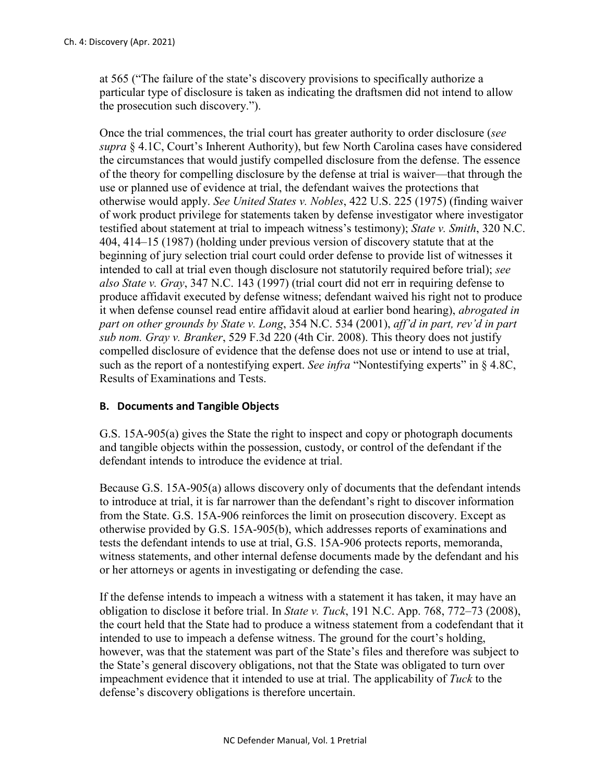at 565 ("The failure of the state's discovery provisions to specifically authorize a particular type of disclosure is taken as indicating the draftsmen did not intend to allow the prosecution such discovery.").

Once the trial commences, the trial court has greater authority to order disclosure (*see supra* § 4.1C, Court's Inherent Authority), but few North Carolina cases have considered the circumstances that would justify compelled disclosure from the defense. The essence of the theory for compelling disclosure by the defense at trial is waiver—that through the use or planned use of evidence at trial, the defendant waives the protections that otherwise would apply. *See United States v. Nobles*, 422 U.S. 225 (1975) (finding waiver of work product privilege for statements taken by defense investigator where investigator testified about statement at trial to impeach witness's testimony); *State v. Smith*, 320 N.C. 404, 414–15 (1987) (holding under previous version of discovery statute that at the beginning of jury selection trial court could order defense to provide list of witnesses it intended to call at trial even though disclosure not statutorily required before trial); *see also State v. Gray*, 347 N.C. 143 (1997) (trial court did not err in requiring defense to produce affidavit executed by defense witness; defendant waived his right not to produce it when defense counsel read entire affidavit aloud at earlier bond hearing), *abrogated in part on other grounds by State v. Long*, 354 N.C. 534 (2001), *aff'd in part, rev'd in part sub nom. Gray v. Branker*, 529 F.3d 220 (4th Cir. 2008). This theory does not justify compelled disclosure of evidence that the defense does not use or intend to use at trial, such as the report of a nontestifying expert. *See infra* "Nontestifying experts" in § 4.8C, Results of Examinations and Tests.

## **B. Documents and Tangible Objects**

G.S. 15A-905(a) gives the State the right to inspect and copy or photograph documents and tangible objects within the possession, custody, or control of the defendant if the defendant intends to introduce the evidence at trial.

Because G.S. 15A-905(a) allows discovery only of documents that the defendant intends to introduce at trial, it is far narrower than the defendant's right to discover information from the State. G.S. 15A-906 reinforces the limit on prosecution discovery. Except as otherwise provided by G.S. 15A-905(b), which addresses reports of examinations and tests the defendant intends to use at trial, G.S. 15A-906 protects reports, memoranda, witness statements, and other internal defense documents made by the defendant and his or her attorneys or agents in investigating or defending the case.

If the defense intends to impeach a witness with a statement it has taken, it may have an obligation to disclose it before trial. In *State v. Tuck*, 191 N.C. App. 768, 772–73 (2008), the court held that the State had to produce a witness statement from a codefendant that it intended to use to impeach a defense witness. The ground for the court's holding, however, was that the statement was part of the State's files and therefore was subject to the State's general discovery obligations, not that the State was obligated to turn over impeachment evidence that it intended to use at trial. The applicability of *Tuck* to the defense's discovery obligations is therefore uncertain.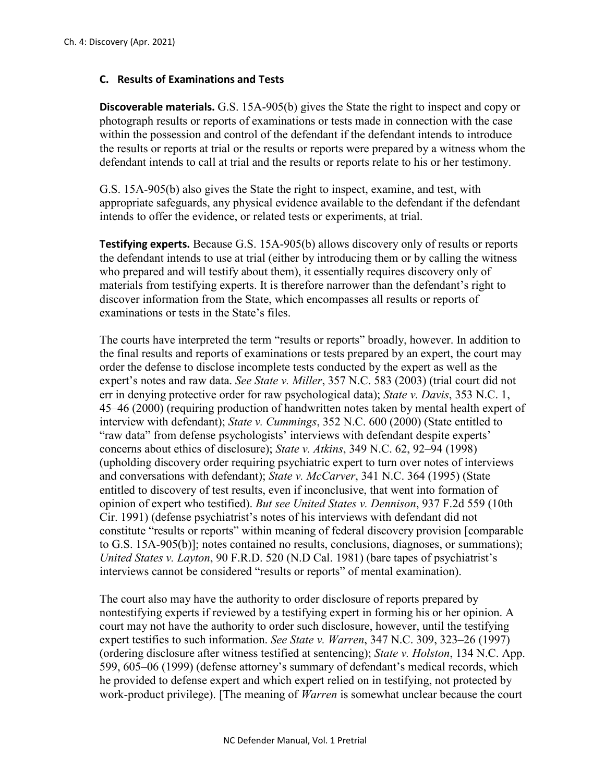# **C. Results of Examinations and Tests**

**Discoverable materials.** G.S. 15A-905(b) gives the State the right to inspect and copy or photograph results or reports of examinations or tests made in connection with the case within the possession and control of the defendant if the defendant intends to introduce the results or reports at trial or the results or reports were prepared by a witness whom the defendant intends to call at trial and the results or reports relate to his or her testimony.

G.S. 15A-905(b) also gives the State the right to inspect, examine, and test, with appropriate safeguards, any physical evidence available to the defendant if the defendant intends to offer the evidence, or related tests or experiments, at trial.

**Testifying experts.** Because G.S. 15A-905(b) allows discovery only of results or reports the defendant intends to use at trial (either by introducing them or by calling the witness who prepared and will testify about them), it essentially requires discovery only of materials from testifying experts. It is therefore narrower than the defendant's right to discover information from the State, which encompasses all results or reports of examinations or tests in the State's files.

The courts have interpreted the term "results or reports" broadly, however. In addition to the final results and reports of examinations or tests prepared by an expert, the court may order the defense to disclose incomplete tests conducted by the expert as well as the expert's notes and raw data. *See State v. Miller*, 357 N.C. 583 (2003) (trial court did not err in denying protective order for raw psychological data); *State v. Davis*, 353 N.C. 1, 45–46 (2000) (requiring production of handwritten notes taken by mental health expert of interview with defendant); *State v. Cummings*, 352 N.C. 600 (2000) (State entitled to "raw data" from defense psychologists' interviews with defendant despite experts' concerns about ethics of disclosure); *State v. Atkins*, 349 N.C. 62, 92–94 (1998) (upholding discovery order requiring psychiatric expert to turn over notes of interviews and conversations with defendant); *State v. McCarver*, 341 N.C. 364 (1995) (State entitled to discovery of test results, even if inconclusive, that went into formation of opinion of expert who testified). *But see United States v. Dennison*, 937 F.2d 559 (10th Cir. 1991) (defense psychiatrist's notes of his interviews with defendant did not constitute "results or reports" within meaning of federal discovery provision [comparable to G.S. 15A-905(b)]; notes contained no results, conclusions, diagnoses, or summations); *United States v. Layton*, 90 F.R.D. 520 (N.D Cal. 1981) (bare tapes of psychiatrist's interviews cannot be considered "results or reports" of mental examination).

The court also may have the authority to order disclosure of reports prepared by nontestifying experts if reviewed by a testifying expert in forming his or her opinion. A court may not have the authority to order such disclosure, however, until the testifying expert testifies to such information. *See State v. Warren*, 347 N.C. 309, 323–26 (1997) (ordering disclosure after witness testified at sentencing); *State v. Holston*, 134 N.C. App. 599, 605–06 (1999) (defense attorney's summary of defendant's medical records, which he provided to defense expert and which expert relied on in testifying, not protected by work-product privilege). [The meaning of *Warren* is somewhat unclear because the court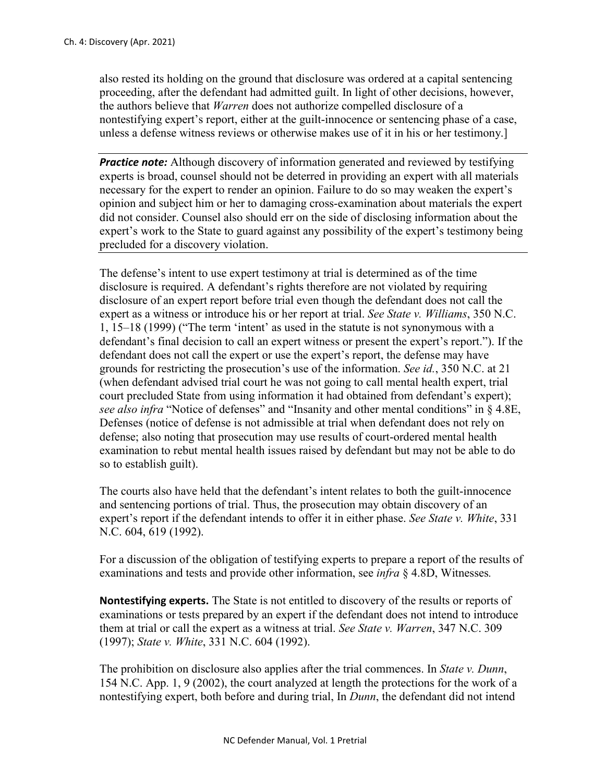also rested its holding on the ground that disclosure was ordered at a capital sentencing proceeding, after the defendant had admitted guilt. In light of other decisions, however, the authors believe that *Warren* does not authorize compelled disclosure of a nontestifying expert's report, either at the guilt-innocence or sentencing phase of a case, unless a defense witness reviews or otherwise makes use of it in his or her testimony.]

*Practice note:* Although discovery of information generated and reviewed by testifying experts is broad, counsel should not be deterred in providing an expert with all materials necessary for the expert to render an opinion. Failure to do so may weaken the expert's opinion and subject him or her to damaging cross-examination about materials the expert did not consider. Counsel also should err on the side of disclosing information about the expert's work to the State to guard against any possibility of the expert's testimony being precluded for a discovery violation.

The defense's intent to use expert testimony at trial is determined as of the time disclosure is required. A defendant's rights therefore are not violated by requiring disclosure of an expert report before trial even though the defendant does not call the expert as a witness or introduce his or her report at trial. *See State v. Williams*, 350 N.C. 1, 15–18 (1999) ("The term 'intent' as used in the statute is not synonymous with a defendant's final decision to call an expert witness or present the expert's report."). If the defendant does not call the expert or use the expert's report, the defense may have grounds for restricting the prosecution's use of the information. *See id.*, 350 N.C. at 21 (when defendant advised trial court he was not going to call mental health expert, trial court precluded State from using information it had obtained from defendant's expert); *see also infra* "Notice of defenses" and "Insanity and other mental conditions" in § 4.8E, Defenses (notice of defense is not admissible at trial when defendant does not rely on defense; also noting that prosecution may use results of court-ordered mental health examination to rebut mental health issues raised by defendant but may not be able to do so to establish guilt).

The courts also have held that the defendant's intent relates to both the guilt-innocence and sentencing portions of trial. Thus, the prosecution may obtain discovery of an expert's report if the defendant intends to offer it in either phase. *See State v. White*, 331 N.C. 604, 619 (1992).

For a discussion of the obligation of testifying experts to prepare a report of the results of examinations and tests and provide other information, see *infra* § 4.8D, Witnesses*.*

**Nontestifying experts.** The State is not entitled to discovery of the results or reports of examinations or tests prepared by an expert if the defendant does not intend to introduce them at trial or call the expert as a witness at trial. *See State v. Warren*, 347 N.C. 309 (1997); *State v. White*, 331 N.C. 604 (1992).

The prohibition on disclosure also applies after the trial commences. In *State v. Dunn*, 154 N.C. App. 1, 9 (2002), the court analyzed at length the protections for the work of a nontestifying expert, both before and during trial, In *Dunn*, the defendant did not intend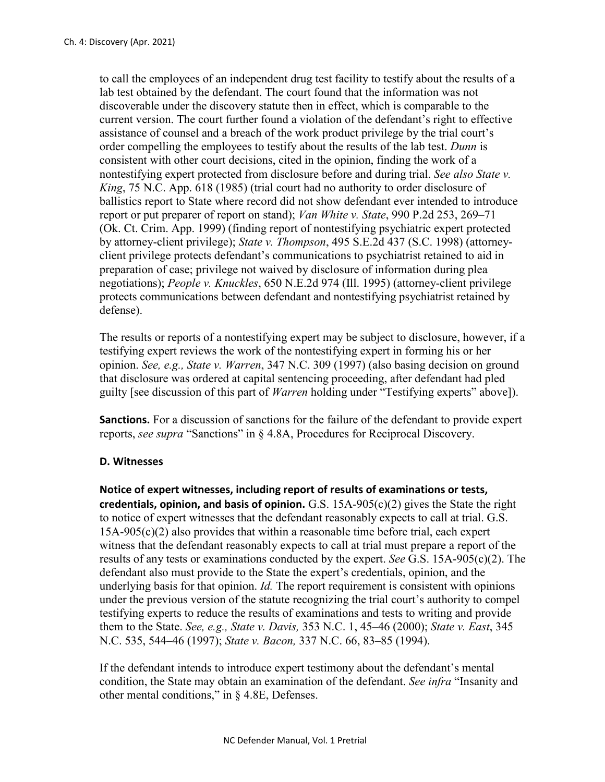to call the employees of an independent drug test facility to testify about the results of a lab test obtained by the defendant. The court found that the information was not discoverable under the discovery statute then in effect, which is comparable to the current version. The court further found a violation of the defendant's right to effective assistance of counsel and a breach of the work product privilege by the trial court's order compelling the employees to testify about the results of the lab test. *Dunn* is consistent with other court decisions, cited in the opinion, finding the work of a nontestifying expert protected from disclosure before and during trial. *See also State v. King*, 75 N.C. App. 618 (1985) (trial court had no authority to order disclosure of ballistics report to State where record did not show defendant ever intended to introduce report or put preparer of report on stand); *Van White v. State*, 990 P.2d 253, 269–71 (Ok. Ct. Crim. App. 1999) (finding report of nontestifying psychiatric expert protected by attorney-client privilege); *State v. Thompson*, 495 S.E.2d 437 (S.C. 1998) (attorneyclient privilege protects defendant's communications to psychiatrist retained to aid in preparation of case; privilege not waived by disclosure of information during plea negotiations); *People v. Knuckles*, 650 N.E.2d 974 (Ill. 1995) (attorney-client privilege protects communications between defendant and nontestifying psychiatrist retained by defense).

The results or reports of a nontestifying expert may be subject to disclosure, however, if a testifying expert reviews the work of the nontestifying expert in forming his or her opinion. *See, e.g., State v. Warren*, 347 N.C. 309 (1997) (also basing decision on ground that disclosure was ordered at capital sentencing proceeding, after defendant had pled guilty [see discussion of this part of *Warren* holding under "Testifying experts" above]).

**Sanctions.** For a discussion of sanctions for the failure of the defendant to provide expert reports, *see supra* "Sanctions" in § 4.8A, Procedures for Reciprocal Discovery.

## **D. Witnesses**

**Notice of expert witnesses, including report of results of examinations or tests, credentials, opinion, and basis of opinion.** G.S. 15A-905(c)(2) gives the State the right to notice of expert witnesses that the defendant reasonably expects to call at trial. G.S. 15A-905(c)(2) also provides that within a reasonable time before trial, each expert witness that the defendant reasonably expects to call at trial must prepare a report of the results of any tests or examinations conducted by the expert. *See* G.S. 15A-905(c)(2). The defendant also must provide to the State the expert's credentials, opinion, and the underlying basis for that opinion. *Id.* The report requirement is consistent with opinions under the previous version of the statute recognizing the trial court's authority to compel testifying experts to reduce the results of examinations and tests to writing and provide them to the State. *See, e.g., State v. Davis,* 353 N.C. 1, 45–46 (2000); *State v. East*, 345 N.C. 535, 544–46 (1997); *State v. Bacon,* 337 N.C. 66, 83–85 (1994).

If the defendant intends to introduce expert testimony about the defendant's mental condition, the State may obtain an examination of the defendant. *See infra* "Insanity and other mental conditions," in § 4.8E, Defenses.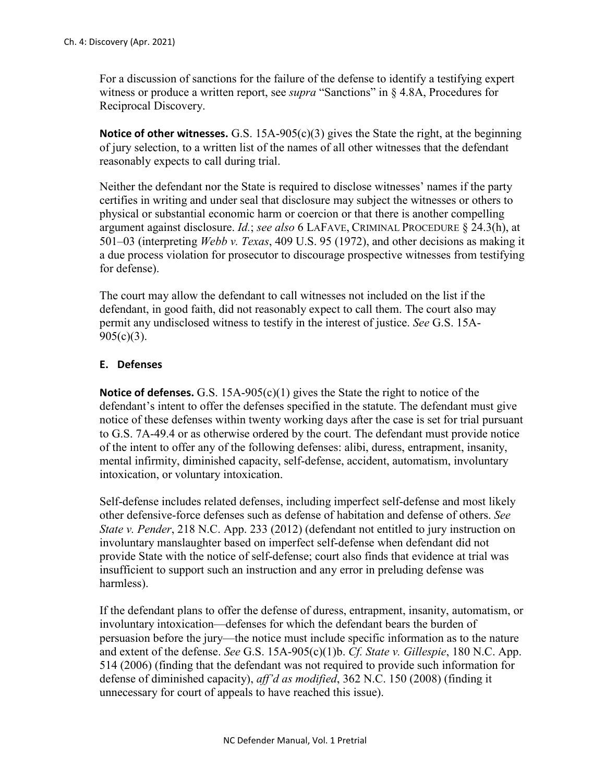For a discussion of sanctions for the failure of the defense to identify a testifying expert witness or produce a written report, see *supra* "Sanctions" in § 4.8A, Procedures for Reciprocal Discovery.

**Notice of other witnesses.** G.S. 15A-905(c)(3) gives the State the right, at the beginning of jury selection, to a written list of the names of all other witnesses that the defendant reasonably expects to call during trial.

Neither the defendant nor the State is required to disclose witnesses' names if the party certifies in writing and under seal that disclosure may subject the witnesses or others to physical or substantial economic harm or coercion or that there is another compelling argument against disclosure. *Id.*; *see also* 6 LAFAVE, CRIMINAL PROCEDURE § 24.3(h), at 501–03 (interpreting *Webb v. Texas*, 409 U.S. 95 (1972), and other decisions as making it a due process violation for prosecutor to discourage prospective witnesses from testifying for defense).

The court may allow the defendant to call witnesses not included on the list if the defendant, in good faith, did not reasonably expect to call them. The court also may permit any undisclosed witness to testify in the interest of justice. *See* G.S. 15A- $905(c)(3)$ .

# **E. Defenses**

**Notice of defenses.** G.S. 15A-905(c)(1) gives the State the right to notice of the defendant's intent to offer the defenses specified in the statute. The defendant must give notice of these defenses within twenty working days after the case is set for trial pursuant to G.S. 7A-49.4 or as otherwise ordered by the court. The defendant must provide notice of the intent to offer any of the following defenses: alibi, duress, entrapment, insanity, mental infirmity, diminished capacity, self-defense, accident, automatism, involuntary intoxication, or voluntary intoxication.

Self-defense includes related defenses, including imperfect self-defense and most likely other defensive-force defenses such as defense of habitation and defense of others. *See State v. Pender*, 218 N.C. App. 233 (2012) (defendant not entitled to jury instruction on involuntary manslaughter based on imperfect self-defense when defendant did not provide State with the notice of self-defense; court also finds that evidence at trial was insufficient to support such an instruction and any error in preluding defense was harmless).

If the defendant plans to offer the defense of duress, entrapment, insanity, automatism, or involuntary intoxication—defenses for which the defendant bears the burden of persuasion before the jury—the notice must include specific information as to the nature and extent of the defense. *See* G.S. 15A-905(c)(1)b. *Cf. State v. Gillespie*, 180 N.C. App. 514 (2006) (finding that the defendant was not required to provide such information for defense of diminished capacity), *aff'd as modified*, 362 N.C. 150 (2008) (finding it unnecessary for court of appeals to have reached this issue).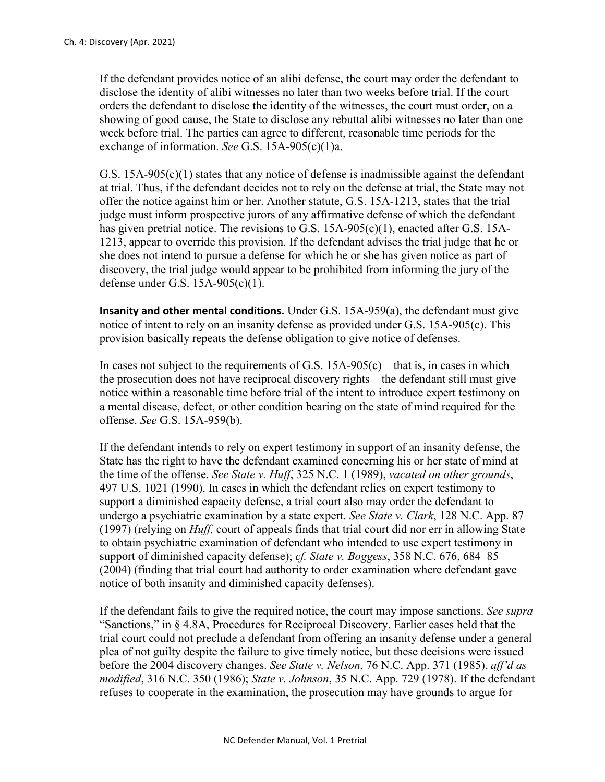If the defendant provides notice of an alibi defense, the court may order the defendant to disclose the identity of alibi witnesses no later than two weeks before trial. If the court orders the defendant to disclose the identity of the witnesses, the court must order, on a showing of good cause, the State to disclose any rebuttal alibi witnesses no later than one week before trial. The parties can agree to different, reasonable time periods for the exchange of information. *See* G.S. 15A-905(c)(1)a.

G.S. 15A-905(c)(1) states that any notice of defense is inadmissible against the defendant at trial. Thus, if the defendant decides not to rely on the defense at trial, the State may not offer the notice against him or her. Another statute, G.S. 15A-1213, states that the trial judge must inform prospective jurors of any affirmative defense of which the defendant has given pretrial notice. The revisions to G.S. 15A-905(c)(1), enacted after G.S. 15A-1213, appear to override this provision. If the defendant advises the trial judge that he or she does not intend to pursue a defense for which he or she has given notice as part of discovery, the trial judge would appear to be prohibited from informing the jury of the defense under G.S. 15A-905(c)(1).

**Insanity and other mental conditions.** Under G.S. 15A-959(a), the defendant must give notice of intent to rely on an insanity defense as provided under G.S. 15A-905(c). This provision basically repeats the defense obligation to give notice of defenses.

In cases not subject to the requirements of G.S.  $15A-905(c)$ —that is, in cases in which the prosecution does not have reciprocal discovery rights—the defendant still must give notice within a reasonable time before trial of the intent to introduce expert testimony on a mental disease, defect, or other condition bearing on the state of mind required for the offense. *See* G.S. 15A-959(b).

If the defendant intends to rely on expert testimony in support of an insanity defense, the State has the right to have the defendant examined concerning his or her state of mind at the time of the offense. *See State v. Huff*, 325 N.C. 1 (1989), *vacated on other grounds*, 497 U.S. 1021 (1990). In cases in which the defendant relies on expert testimony to support a diminished capacity defense, a trial court also may order the defendant to undergo a psychiatric examination by a state expert. *See State v. Clark*, 128 N.C. App. 87 (1997) (relying on *Huff,* court of appeals finds that trial court did nor err in allowing State to obtain psychiatric examination of defendant who intended to use expert testimony in support of diminished capacity defense); *cf. State v. Boggess*, 358 N.C. 676, 684–85 (2004) (finding that trial court had authority to order examination where defendant gave notice of both insanity and diminished capacity defenses).

If the defendant fails to give the required notice, the court may impose sanctions. *See supra* "Sanctions," in § 4.8A, Procedures for Reciprocal Discovery. Earlier cases held that the trial court could not preclude a defendant from offering an insanity defense under a general plea of not guilty despite the failure to give timely notice, but these decisions were issued before the 2004 discovery changes. *See State v. Nelson*, 76 N.C. App. 371 (1985), *aff'd as modified*, 316 N.C. 350 (1986); *State v. Johnson*, 35 N.C. App. 729 (1978). If the defendant refuses to cooperate in the examination, the prosecution may have grounds to argue for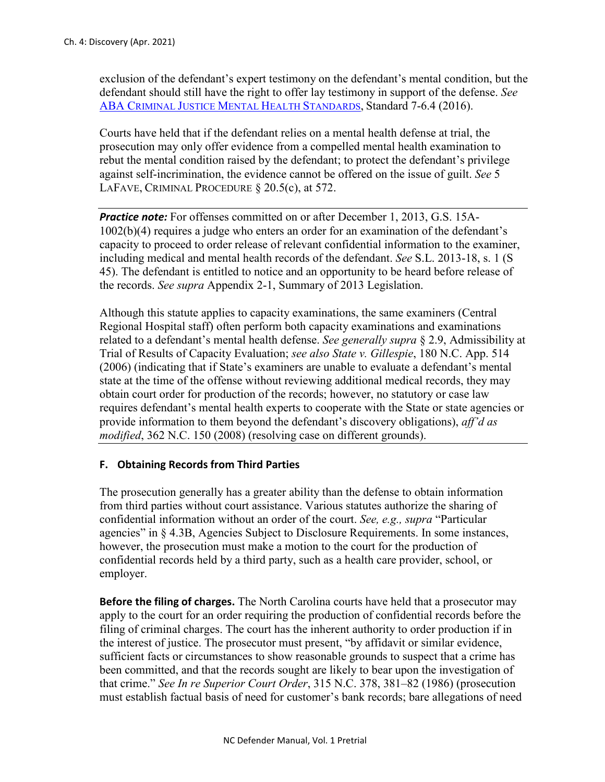exclusion of the defendant's expert testimony on the defendant's mental condition, but the defendant should still have the right to offer lay testimony in support of the defense. *See*  [ABA CRIMINAL JUSTICE MENTAL HEALTH STANDARDS,](https://www.americanbar.org/content/dam/aba/publications/criminal_justice_standards/mental_health_standards_2016.authcheckdam.pdf) Standard 7-6.4 (2016).

Courts have held that if the defendant relies on a mental health defense at trial, the prosecution may only offer evidence from a compelled mental health examination to rebut the mental condition raised by the defendant; to protect the defendant's privilege against self-incrimination, the evidence cannot be offered on the issue of guilt. *See* 5 LAFAVE, CRIMINAL PROCEDURE § 20.5(c), at 572.

*Practice note:* For offenses committed on or after December 1, 2013, G.S. 15A-1002(b)(4) requires a judge who enters an order for an examination of the defendant's capacity to proceed to order release of relevant confidential information to the examiner, including medical and mental health records of the defendant. *See* S.L. 2013-18, s. 1 (S 45). The defendant is entitled to notice and an opportunity to be heard before release of the records. *See supra* Appendix 2-1, Summary of 2013 Legislation.

Although this statute applies to capacity examinations, the same examiners (Central Regional Hospital staff) often perform both capacity examinations and examinations related to a defendant's mental health defense. *See generally supra* § 2.9, Admissibility at Trial of Results of Capacity Evaluation; *see also State v. Gillespie*, 180 N.C. App. 514 (2006) (indicating that if State's examiners are unable to evaluate a defendant's mental state at the time of the offense without reviewing additional medical records, they may obtain court order for production of the records; however, no statutory or case law requires defendant's mental health experts to cooperate with the State or state agencies or provide information to them beyond the defendant's discovery obligations), *aff'd as modified*, 362 N.C. 150 (2008) (resolving case on different grounds).

## **F. Obtaining Records from Third Parties**

The prosecution generally has a greater ability than the defense to obtain information from third parties without court assistance. Various statutes authorize the sharing of confidential information without an order of the court. *See, e.g., supra* "Particular agencies" in § 4.3B, Agencies Subject to Disclosure Requirements. In some instances, however, the prosecution must make a motion to the court for the production of confidential records held by a third party, such as a health care provider, school, or employer.

**Before the filing of charges.** The North Carolina courts have held that a prosecutor may apply to the court for an order requiring the production of confidential records before the filing of criminal charges. The court has the inherent authority to order production if in the interest of justice. The prosecutor must present, "by affidavit or similar evidence, sufficient facts or circumstances to show reasonable grounds to suspect that a crime has been committed, and that the records sought are likely to bear upon the investigation of that crime." *See In re Superior Court Order*, 315 N.C. 378, 381–82 (1986) (prosecution must establish factual basis of need for customer's bank records; bare allegations of need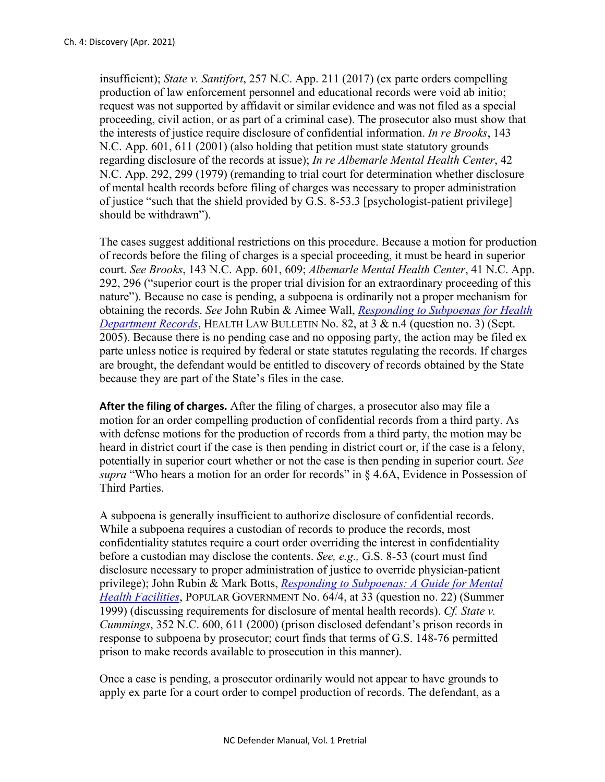insufficient); *State v. Santifort*, 257 N.C. App. 211 (2017) (ex parte orders compelling production of law enforcement personnel and educational records were void ab initio; request was not supported by affidavit or similar evidence and was not filed as a special proceeding, civil action, or as part of a criminal case). The prosecutor also must show that the interests of justice require disclosure of confidential information. *In re Brooks*, 143 N.C. App. 601, 611 (2001) (also holding that petition must state statutory grounds regarding disclosure of the records at issue); *In re Albemarle Mental Health Center*, 42 N.C. App. 292, 299 (1979) (remanding to trial court for determination whether disclosure of mental health records before filing of charges was necessary to proper administration of justice "such that the shield provided by G.S. 8-53.3 [psychologist-patient privilege] should be withdrawn").

The cases suggest additional restrictions on this procedure. Because a motion for production of records before the filing of charges is a special proceeding, it must be heard in superior court. *See Brooks*, 143 N.C. App. 601, 609; *Albemarle Mental Health Center*, 41 N.C. App. 292, 296 ("superior court is the proper trial division for an extraordinary proceeding of this nature"). Because no case is pending, a subpoena is ordinarily not a proper mechanism for obtaining the records. *See* John Rubin & Aimee Wall, *[Responding to Subpoenas for Health](https://www.sog.unc.edu/sites/www.sog.unc.edu/files/reports/hlb82.pdf)  [Department Records](https://www.sog.unc.edu/sites/www.sog.unc.edu/files/reports/hlb82.pdf)*, HEALTH LAW BULLETIN No. 82, at 3 & n.4 (question no. 3) (Sept. 2005). Because there is no pending case and no opposing party, the action may be filed ex parte unless notice is required by federal or state statutes regulating the records. If charges are brought, the defendant would be entitled to discovery of records obtained by the State because they are part of the State's files in the case.

**After the filing of charges.** After the filing of charges, a prosecutor also may file a motion for an order compelling production of confidential records from a third party. As with defense motions for the production of records from a third party, the motion may be heard in district court if the case is then pending in district court or, if the case is a felony, potentially in superior court whether or not the case is then pending in superior court. *See supra* "Who hears a motion for an order for records" in § 4.6A, Evidence in Possession of Third Parties.

A subpoena is generally insufficient to authorize disclosure of confidential records. While a subpoena requires a custodian of records to produce the records, most confidentiality statutes require a court order overriding the interest in confidentiality before a custodian may disclose the contents. *See, e.g.,* G.S. 8-53 (court must find disclosure necessary to proper administration of justice to override physician-patient privilege); John Rubin & Mark Botts, *[Responding to Subpoenas: A Guide for Mental](https://www.sog.unc.edu/sites/www.sog.unc.edu/files/articles/botts.pdf)  [Health Facilities](https://www.sog.unc.edu/sites/www.sog.unc.edu/files/articles/botts.pdf)*, POPULAR GOVERNMENT No. 64/4, at 33 (question no. 22) (Summer 1999) (discussing requirements for disclosure of mental health records). *Cf. State v. Cummings*, 352 N.C. 600, 611 (2000) (prison disclosed defendant's prison records in response to subpoena by prosecutor; court finds that terms of G.S. 148-76 permitted prison to make records available to prosecution in this manner).

Once a case is pending, a prosecutor ordinarily would not appear to have grounds to apply ex parte for a court order to compel production of records. The defendant, as a